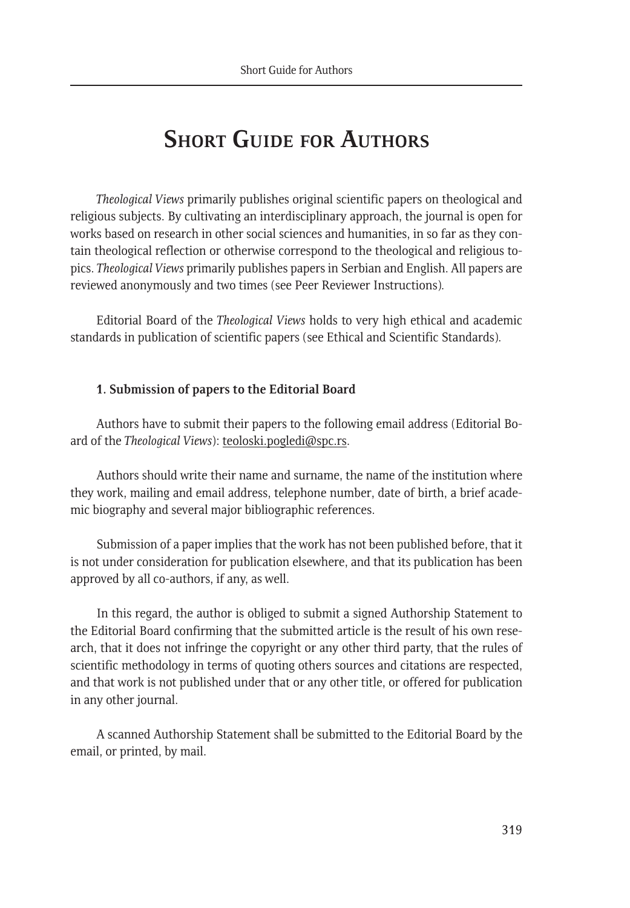# **Short Guide for Authors**

*Theological Views* primarily publishes original scientific papers on theological and religious subjects. By cultivating an interdisciplinary approach, the journal is open for works based on research in other social sciences and humanities, in so far as they contain theological reflection or otherwise correspond to the theological and religious topics. *Theological Views* primarily publishes papers in Serbian and English. All papers are reviewed anonymously and two times (see Peer Reviewer Instructions).

Editorial Board of the *Theological Views* holds to very high ethical and academic standards in publication of scientific papers (see Ethical and Scientific Standards).

### **1. Submission of papers to the Editorial Board**

Authors have to submit their papers to the following email address (Editorial Board of the *Theological Views*): teoloski.pogledi@spc.rs.

Authors should write their name and surname, the name of the institution where they work, mailing and email address, telephone number, date of birth, a brief academic biography and several major bibliographic references.

Submission of a paper implies that the work has not been published before, that it is not under consideration for publication elsewhere, and that its publication has been approved by all co-authors, if any, as well.

In this regard, the author is obliged to submit a signed Authorship Statement to the Editorial Board confirming that the submitted article is the result of his own research, that it does not infringe the copyright or any other third party, that the rules of scientific methodology in terms of quoting others sources and citations are respected, and that work is not published under that or any other title, or offered for publication in any other journal.

A scanned Authorship Statement shall be submitted to the Editorial Board by the email, or printed, by mail.